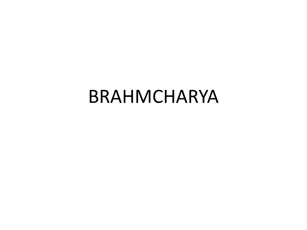#### BRAHMCHARYA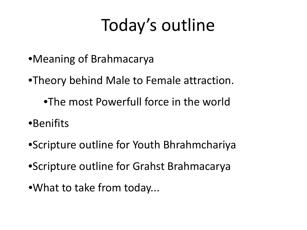### Today's outline

- •Meaning of Brahmacarya
- •Theory behind Male to Female attraction.
	- •The most Powerfull force in the world
- •Benifits
- •Scripture outline for Youth Bhrahmchariya
- •Scripture outline for Grahst Brahmacarya
- •What to take from today...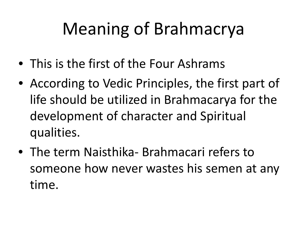# Meaning of Brahmacrya

- This is the first of the Four Ashrams
- According to Vedic Principles, the first part of life should be utilized in Brahmacarya for the development of character and Spiritual qualities.
- The term Naisthika- Brahmacari refers to someone how never wastes his semen at any time.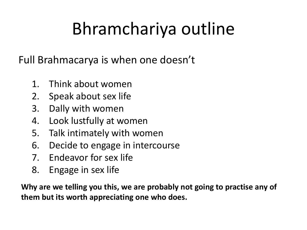# Bhramchariya outline

Full Brahmacarya is when one doesn't

- 1. Think about women
- 2. Speak about sex life
- 3. Dally with women
- 4. Look lustfully at women
- 5. Talk intimately with women
- 6. Decide to engage in intercourse
- 7. Endeavor for sex life
- 8. Engage in sex life

**Why are we telling you this, we are probably not going to practise any of them but its worth appreciating one who does.**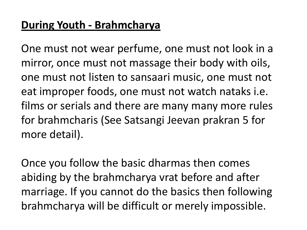#### **During Youth - Brahmcharya**

One must not wear perfume, one must not look in a mirror, once must not massage their body with oils, one must not listen to sansaari music, one must not eat improper foods, one must not watch nataks i.e. films or serials and there are many many more rules for brahmcharis (See Satsangi Jeevan prakran 5 for more detail).

Once you follow the basic dharmas then comes abiding by the brahmcharya vrat before and after marriage. If you cannot do the basics then following brahmcharya will be difficult or merely impossible.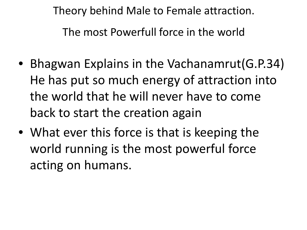Theory behind Male to Female attraction.

The most Powerfull force in the world

- Bhagwan Explains in the Vachanamrut(G.P.34) He has put so much energy of attraction into the world that he will never have to come back to start the creation again
- What ever this force is that is keeping the world running is the most powerful force acting on humans.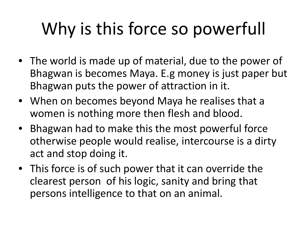# Why is this force so powerfull

- The world is made up of material, due to the power of Bhagwan is becomes Maya. E.g money is just paper but Bhagwan puts the power of attraction in it.
- When on becomes beyond Maya he realises that a women is nothing more then flesh and blood.
- Bhagwan had to make this the most powerful force otherwise people would realise, intercourse is a dirty act and stop doing it.
- This force is of such power that it can override the clearest person of his logic, sanity and bring that persons intelligence to that on an animal.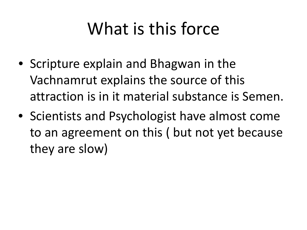# What is this force

- Scripture explain and Bhagwan in the Vachnamrut explains the source of this attraction is in it material substance is Semen.
- Scientists and Psychologist have almost come to an agreement on this ( but not yet because they are slow)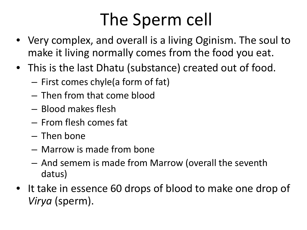# The Sperm cell

- Very complex, and overall is a living Oginism. The soul to make it living normally comes from the food you eat.
- This is the last Dhatu (substance) created out of food.
	- First comes chyle(a form of fat)
	- Then from that come blood
	- Blood makes flesh
	- From flesh comes fat
	- Then bone
	- Marrow is made from bone
	- And semem is made from Marrow (overall the seventh datus)
- It take in essence 60 drops of blood to make one drop of *Virya* (sperm).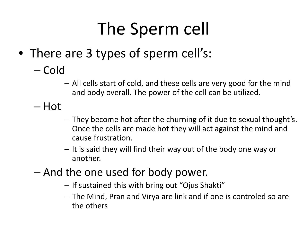# The Sperm cell

- There are 3 types of sperm cell's:
	- Cold
		- All cells start of cold, and these cells are very good for the mind and body overall. The power of the cell can be utilized.
	- Hot
		- They become hot after the churning of it due to sexual thought's. Once the cells are made hot they will act against the mind and cause frustration.
		- It is said they will find their way out of the body one way or another.
	- And the one used for body power.
		- If sustained this with bring out "Ojus Shakti"
		- The Mind, Pran and Virya are link and if one is controled so are the others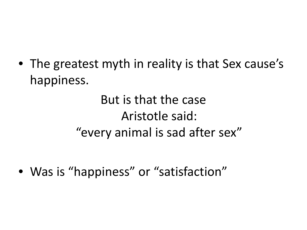• The greatest myth in reality is that Sex cause's happiness.

> But is that the case Aristotle said: "every animal is sad after sex"

• Was is "happiness" or "satisfaction"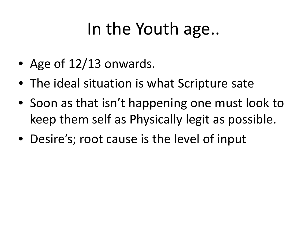### In the Youth age..

- Age of 12/13 onwards.
- The ideal situation is what Scripture sate
- Soon as that isn't happening one must look to keep them self as Physically legit as possible.
- Desire's; root cause is the level of input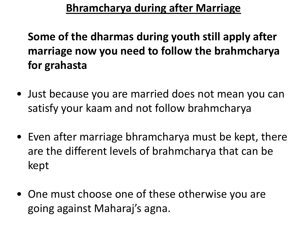#### **Bhramcharya during after Marriage**

#### **Some of the dharmas during youth still apply after marriage now you need to follow the brahmcharya for grahasta**

- Just because you are married does not mean you can satisfy your kaam and not follow brahmcharya
- Even after marriage bhramcharya must be kept, there are the different levels of brahmcharya that can be kept
- One must choose one of these otherwise you are going against Maharaj's agna.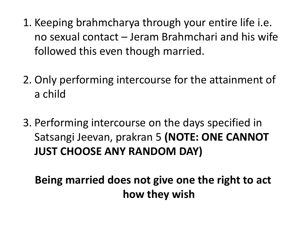- 1. Keeping brahmcharya through your entire life i.e. no sexual contact – Jeram Brahmchari and his wife followed this even though married.
- 2. Only performing intercourse for the attainment of a child
- 3. Performing intercourse on the days specified in Satsangi Jeevan, prakran 5 **(NOTE: ONE CANNOT JUST CHOOSE ANY RANDOM DAY)**

**Being married does not give one the right to act how they wish**